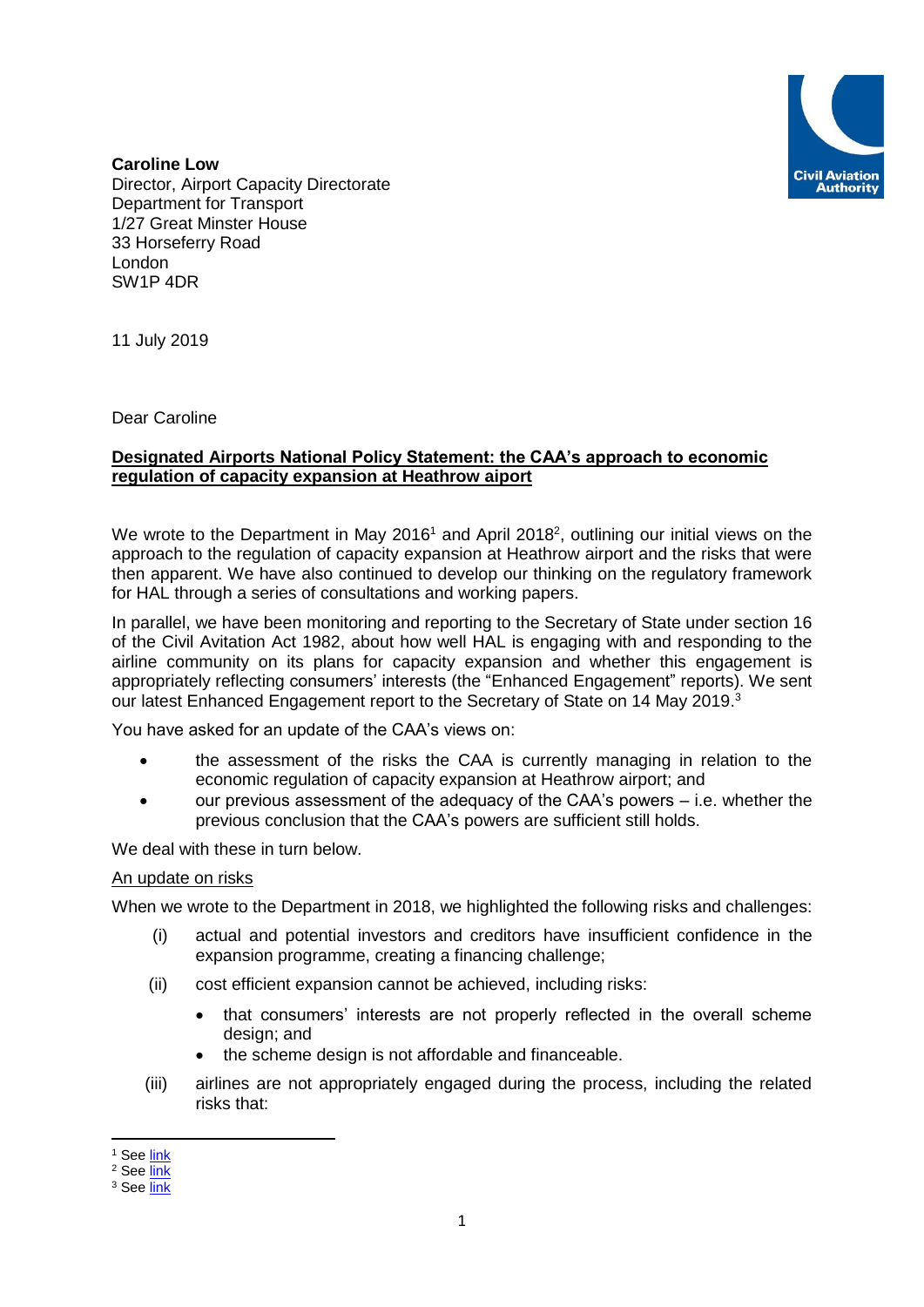

**Caroline Low**  Director, Airport Capacity Directorate Department for Transport 1/27 Great Minster House 33 Horseferry Road London SW1P 4DR

11 July 2019

Dear Caroline

# **Designated Airports National Policy Statement: the CAA's approach to economic regulation of capacity expansion at Heathrow aiport**

We wrote to the Department in May 2016<sup>1</sup> and April 2018<sup>2</sup>, outlining our initial views on the approach to the regulation of capacity expansion at Heathrow airport and the risks that were then apparent. We have also continued to develop our thinking on the regulatory framework for HAL through a series of consultations and working papers.

In parallel, we have been monitoring and reporting to the Secretary of State under section 16 of the Civil Avitation Act 1982, about how well HAL is engaging with and responding to the airline community on its plans for capacity expansion and whether this engagement is appropriately reflecting consumers' interests (the "Enhanced Engagement" reports). We sent our latest Enhanced Engagement report to the Secretary of State on 14 May 2019.<sup>3</sup>

You have asked for an update of the CAA's views on:

- the assessment of the risks the CAA is currently managing in relation to the economic regulation of capacity expansion at Heathrow airport; and
- our previous assessment of the adequacy of the CAA's powers i.e. whether the previous conclusion that the CAA's powers are sufficient still holds.

We deal with these in turn below.

# An update on risks

When we wrote to the Department in 2018, we highlighted the following risks and challenges:

- (i) actual and potential investors and creditors have insufficient confidence in the expansion programme, creating a financing challenge;
- (ii) cost efficient expansion cannot be achieved, including risks:
	- that consumers' interests are not properly reflected in the overall scheme design; and
	- the scheme design is not affordable and financeable.
- (iii) airlines are not appropriately engaged during the process, including the related risks that:

**.** 

<sup>&</sup>lt;sup>1</sup> See [link](https://www.caa.co.uk/uploadedFiles/CAA/Content/Accordion/Standard_Content/Commercial/Airports/Rutman%20DfT%20270516.pdf)

<sup>&</sup>lt;sup>2</sup> See [link](https://www.caa.co.uk/uploadedFiles/CAA/Content/Accordion/Standard_Content/Commercial/Airports/BKelly_30042018_RM.pdf)

<sup>&</sup>lt;sup>3</sup> See [link](https://www.caa.co.uk/Commercial-industry/Airports/Economic-regulation/H7/Enhanced-Engagement-Section-16/)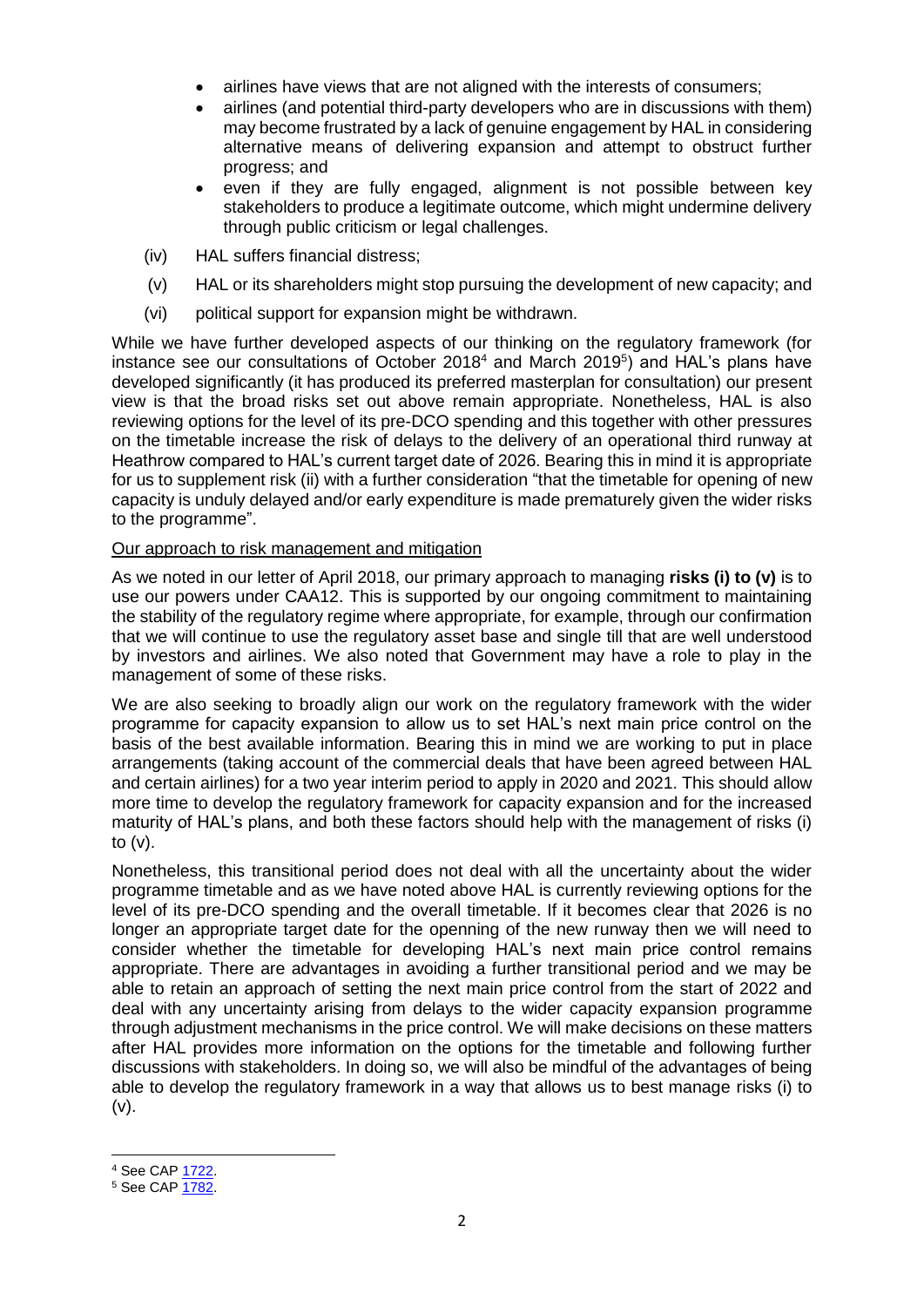- airlines have views that are not aligned with the interests of consumers;
- airlines (and potential third-party developers who are in discussions with them) may become frustrated by a lack of genuine engagement by HAL in considering alternative means of delivering expansion and attempt to obstruct further progress; and
- even if they are fully engaged, alignment is not possible between key stakeholders to produce a legitimate outcome, which might undermine delivery through public criticism or legal challenges.
- (iv) HAL suffers financial distress;
- (v) HAL or its shareholders might stop pursuing the development of new capacity; and
- (vi) political support for expansion might be withdrawn.

While we have further developed aspects of our thinking on the regulatory framework (for instance see our consultations of October 2018<sup>4</sup> and March 2019<sup>5</sup>) and HAL's plans have developed significantly (it has produced its preferred masterplan for consultation) our present view is that the broad risks set out above remain appropriate. Nonetheless, HAL is also reviewing options for the level of its pre-DCO spending and this together with other pressures on the timetable increase the risk of delays to the delivery of an operational third runway at Heathrow compared to HAL's current target date of 2026. Bearing this in mind it is appropriate for us to supplement risk (ii) with a further consideration "that the timetable for opening of new capacity is unduly delayed and/or early expenditure is made prematurely given the wider risks to the programme".

# Our approach to risk management and mitigation

As we noted in our letter of April 2018, our primary approach to managing **risks (i) to (v)** is to use our powers under CAA12. This is supported by our ongoing commitment to maintaining the stability of the regulatory regime where appropriate, for example, through our confirmation that we will continue to use the regulatory asset base and single till that are well understood by investors and airlines. We also noted that Government may have a role to play in the management of some of these risks.

We are also seeking to broadly align our work on the regulatory framework with the wider programme for capacity expansion to allow us to set HAL's next main price control on the basis of the best available information. Bearing this in mind we are working to put in place arrangements (taking account of the commercial deals that have been agreed between HAL and certain airlines) for a two year interim period to apply in 2020 and 2021. This should allow more time to develop the regulatory framework for capacity expansion and for the increased maturity of HAL's plans, and both these factors should help with the management of risks (i) to (v).

Nonetheless, this transitional period does not deal with all the uncertainty about the wider programme timetable and as we have noted above HAL is currently reviewing options for the level of its pre-DCO spending and the overall timetable. If it becomes clear that 2026 is no longer an appropriate target date for the openning of the new runway then we will need to consider whether the timetable for developing HAL's next main price control remains appropriate. There are advantages in avoiding a further transitional period and we may be able to retain an approach of setting the next main price control from the start of 2022 and deal with any uncertainty arising from delays to the wider capacity expansion programme through adjustment mechanisms in the price control. We will make decisions on these matters after HAL provides more information on the options for the timetable and following further discussions with stakeholders. In doing so, we will also be mindful of the advantages of being able to develop the regulatory framework in a way that allows us to best manage risks (i) to  $(v)$ .

1

<sup>4</sup> See CAP [1722.](https://publicapps.caa.co.uk/docs/33/CAP1722%20Economic%20regulation%20of%20capacity%20expansion%20at%20Heathrow%20policy%20update%20and%20consultation.pdf)

<sup>5</sup> See CAP [1782.](http://publicapps.caa.co.uk/docs/33/CAP1782%20March%202019%20.1.pdf)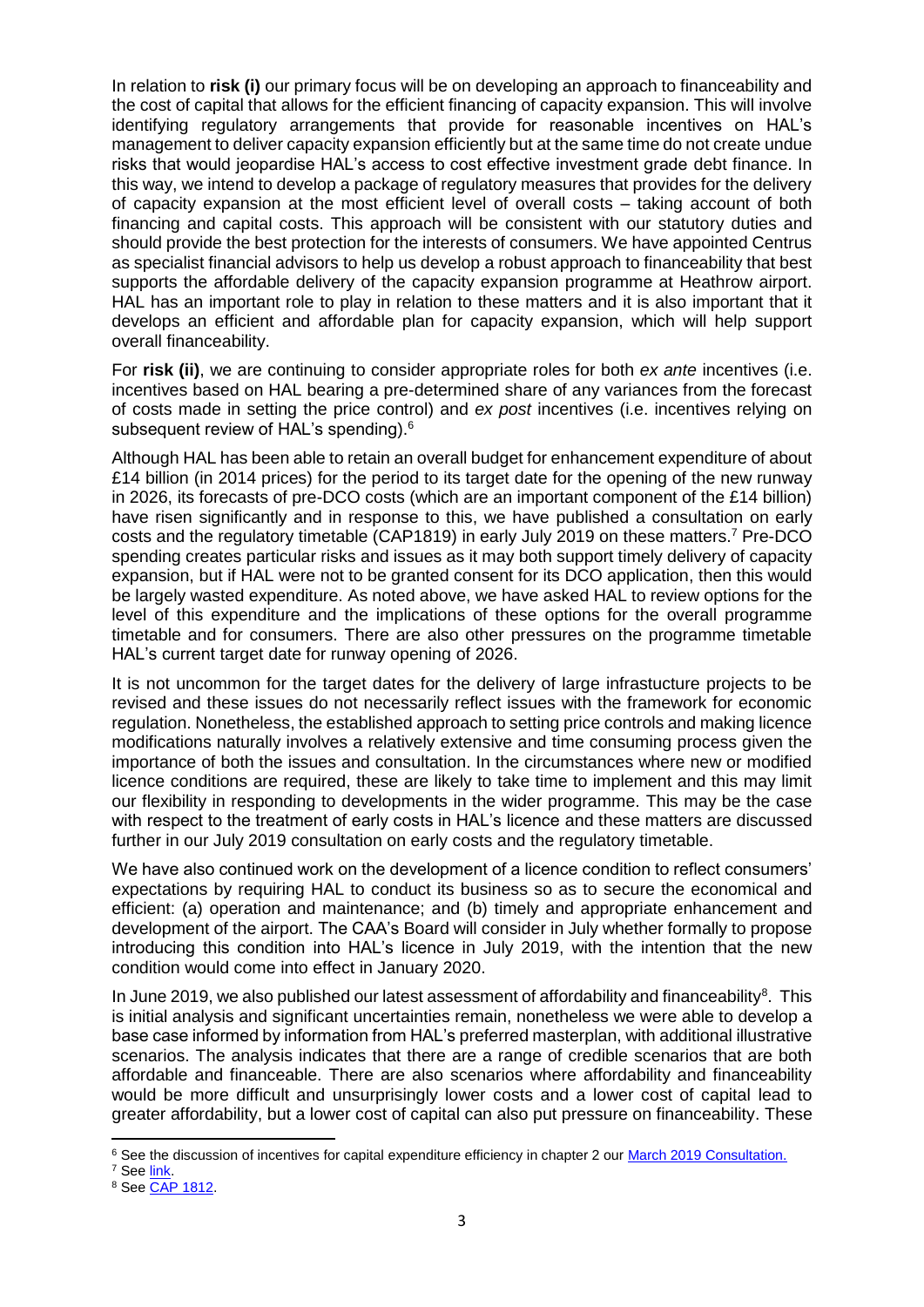In relation to **risk (i)** our primary focus will be on developing an approach to financeability and the cost of capital that allows for the efficient financing of capacity expansion. This will involve identifying regulatory arrangements that provide for reasonable incentives on HAL's management to deliver capacity expansion efficiently but at the same time do not create undue risks that would jeopardise HAL's access to cost effective investment grade debt finance. In this way, we intend to develop a package of regulatory measures that provides for the delivery of capacity expansion at the most efficient level of overall costs – taking account of both financing and capital costs. This approach will be consistent with our statutory duties and should provide the best protection for the interests of consumers. We have appointed Centrus as specialist financial advisors to help us develop a robust approach to financeability that best supports the affordable delivery of the capacity expansion programme at Heathrow airport. HAL has an important role to play in relation to these matters and it is also important that it develops an efficient and affordable plan for capacity expansion, which will help support overall financeability.

For **risk (ii)**, we are continuing to consider appropriate roles for both *ex ante* incentives (i.e. incentives based on HAL bearing a pre-determined share of any variances from the forecast of costs made in setting the price control) and *ex post* incentives (i.e. incentives relying on subsequent review of HAL's spending).<sup>6</sup>

Although HAL has been able to retain an overall budget for enhancement expenditure of about £14 billion (in 2014 prices) for the period to its target date for the opening of the new runway in 2026, its forecasts of pre-DCO costs (which are an important component of the £14 billion) have risen significantly and in response to this, we have published a consultation on early costs and the regulatory timetable (CAP1819) in early July 2019 on these matters. <sup>7</sup> Pre-DCO spending creates particular risks and issues as it may both support timely delivery of capacity expansion, but if HAL were not to be granted consent for its DCO application, then this would be largely wasted expenditure. As noted above, we have asked HAL to review options for the level of this expenditure and the implications of these options for the overall programme timetable and for consumers. There are also other pressures on the programme timetable HAL's current target date for runway opening of 2026.

It is not uncommon for the target dates for the delivery of large infrastucture projects to be revised and these issues do not necessarily reflect issues with the framework for economic regulation. Nonetheless, the established approach to setting price controls and making licence modifications naturally involves a relatively extensive and time consuming process given the importance of both the issues and consultation. In the circumstances where new or modified licence conditions are required, these are likely to take time to implement and this may limit our flexibility in responding to developments in the wider programme. This may be the case with respect to the treatment of early costs in HAL's licence and these matters are discussed further in our July 2019 consultation on early costs and the regulatory timetable.

We have also continued work on the development of a licence condition to reflect consumers' expectations by requiring HAL to conduct its business so as to secure the economical and efficient: (a) operation and maintenance; and (b) timely and appropriate enhancement and development of the airport. The CAA's Board will consider in July whether formally to propose introducing this condition into HAL's licence in July 2019, with the intention that the new condition would come into effect in January 2020.

In June 2019, we also published our latest assessment of affordability and financeability<sup>8</sup>. This is initial analysis and significant uncertainties remain, nonetheless we were able to develop a base case informed by information from HAL's preferred masterplan, with additional illustrative scenarios. The analysis indicates that there are a range of credible scenarios that are both affordable and financeable. There are also scenarios where affordability and financeability would be more difficult and unsurprisingly lower costs and a lower cost of capital lead to greater affordability, but a lower cost of capital can also put pressure on financeability. These

**.** 

<sup>&</sup>lt;sup>6</sup> See the discussion of incentives for capital expenditure efficiency in chapter 2 our [March 2019 Consultation.](http://publicapps.caa.co.uk/docs/33/CAP1782%20March%202019%20.1.pdf)

<sup>&</sup>lt;sup>7</sup> See [link.](https://www.caa.co.uk/Commercial-industry/Airports/Economic-regulation/H7/Consultations-and-policy-documents/)

<sup>8</sup> See [CAP 1812.](http://publicapps.caa.co.uk/docs/33/CAP1812_Heathrow_expansion_affordability.pdf)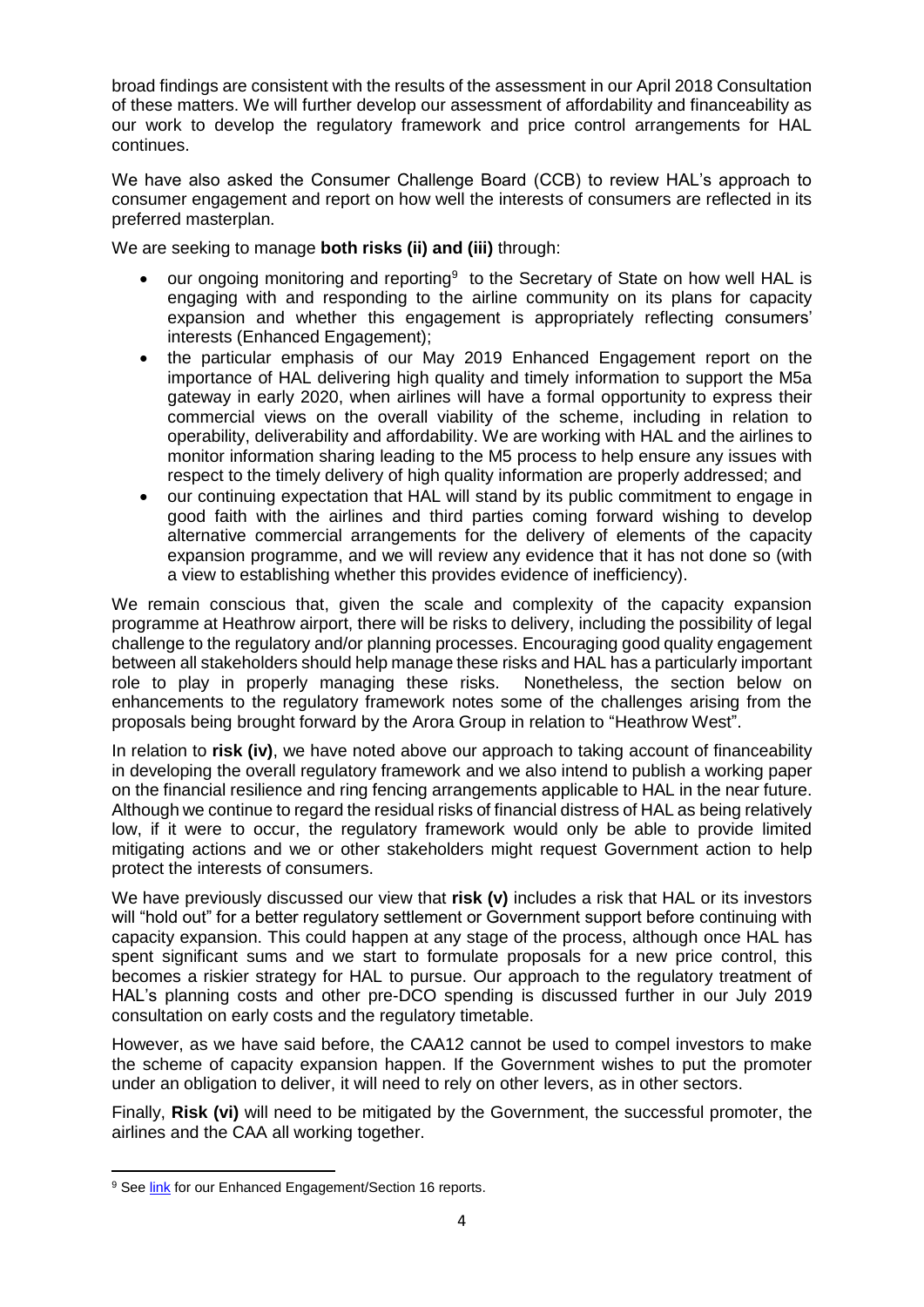broad findings are consistent with the results of the assessment in our April 2018 Consultation of these matters. We will further develop our assessment of affordability and financeability as our work to develop the regulatory framework and price control arrangements for HAL continues.

We have also asked the Consumer Challenge Board (CCB) to review HAL's approach to consumer engagement and report on how well the interests of consumers are reflected in its preferred masterplan.

We are seeking to manage **both risks (ii) and (iii)** through:

- our ongoing monitoring and reporting $9$  to the Secretary of State on how well HAL is engaging with and responding to the airline community on its plans for capacity expansion and whether this engagement is appropriately reflecting consumers' interests (Enhanced Engagement);
- the particular emphasis of our May 2019 Enhanced Engagement report on the importance of HAL delivering high quality and timely information to support the M5a gateway in early 2020, when airlines will have a formal opportunity to express their commercial views on the overall viability of the scheme, including in relation to operability, deliverability and affordability. We are working with HAL and the airlines to monitor information sharing leading to the M5 process to help ensure any issues with respect to the timely delivery of high quality information are properly addressed; and
- our continuing expectation that HAL will stand by its public commitment to engage in good faith with the airlines and third parties coming forward wishing to develop alternative commercial arrangements for the delivery of elements of the capacity expansion programme, and we will review any evidence that it has not done so (with a view to establishing whether this provides evidence of inefficiency).

We remain conscious that, given the scale and complexity of the capacity expansion programme at Heathrow airport, there will be risks to delivery, including the possibility of legal challenge to the regulatory and/or planning processes. Encouraging good quality engagement between all stakeholders should help manage these risks and HAL has a particularly important role to play in properly managing these risks. Nonetheless, the section below on enhancements to the regulatory framework notes some of the challenges arising from the proposals being brought forward by the Arora Group in relation to "Heathrow West".

In relation to **risk (iv)**, we have noted above our approach to taking account of financeability in developing the overall regulatory framework and we also intend to publish a working paper on the financial resilience and ring fencing arrangements applicable to HAL in the near future. Although we continue to regard the residual risks of financial distress of HAL as being relatively low, if it were to occur, the regulatory framework would only be able to provide limited mitigating actions and we or other stakeholders might request Government action to help protect the interests of consumers.

We have previously discussed our view that **risk (v)** includes a risk that HAL or its investors will "hold out" for a better regulatory settlement or Government support before continuing with capacity expansion. This could happen at any stage of the process, although once HAL has spent significant sums and we start to formulate proposals for a new price control, this becomes a riskier strategy for HAL to pursue. Our approach to the regulatory treatment of HAL's planning costs and other pre-DCO spending is discussed further in our July 2019 consultation on early costs and the regulatory timetable.

However, as we have said before, the CAA12 cannot be used to compel investors to make the scheme of capacity expansion happen. If the Government wishes to put the promoter under an obligation to deliver, it will need to rely on other levers, as in other sectors.

Finally, **Risk (vi)** will need to be mitigated by the Government, the successful promoter, the airlines and the CAA all working together.

1

<sup>&</sup>lt;sup>9</sup> See [link](https://www.caa.co.uk/Commercial-industry/Airports/Economic-regulation/H7/Enhanced-Engagement-Section-16/) for our Enhanced Engagement/Section 16 reports.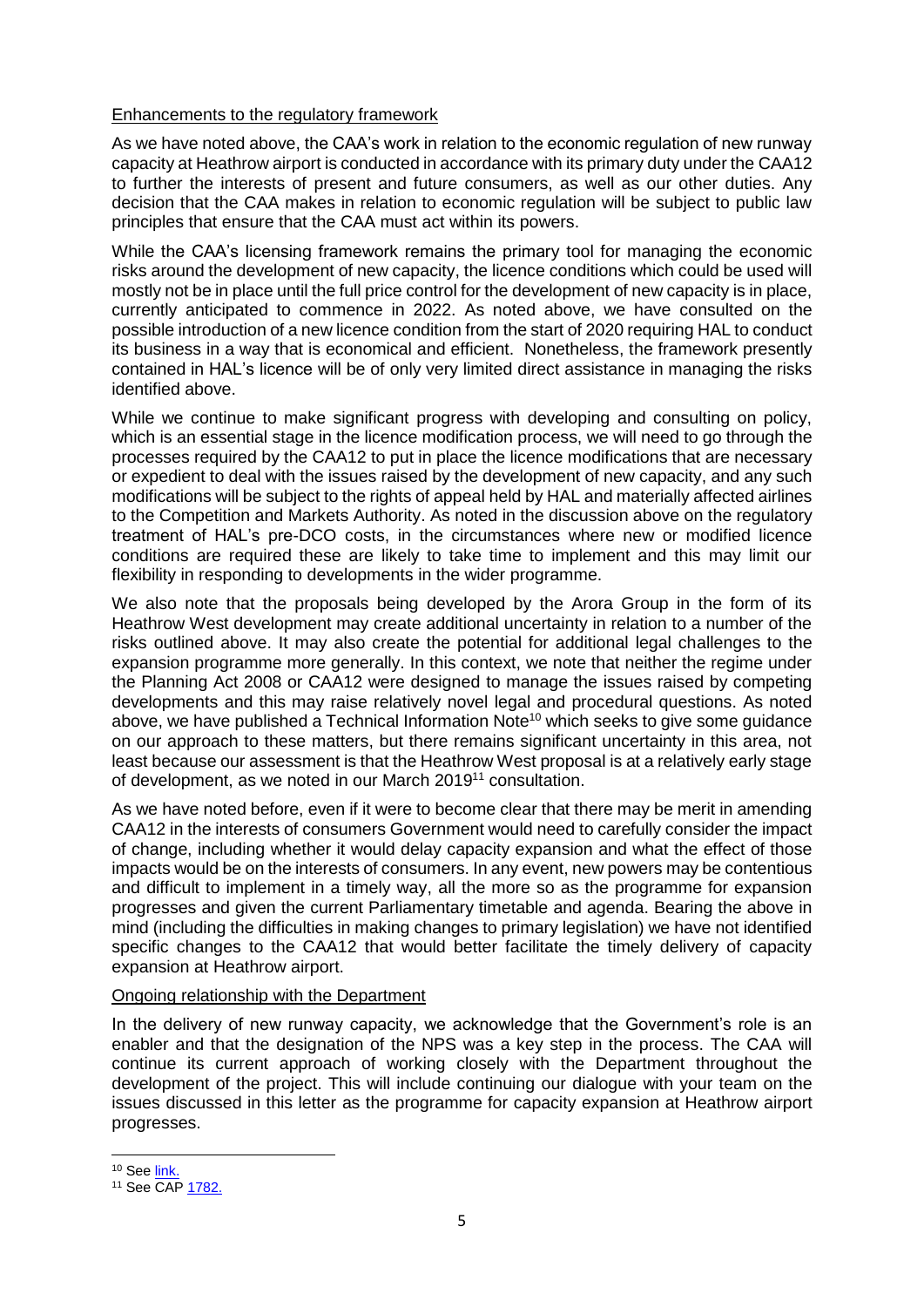### Enhancements to the regulatory framework

As we have noted above, the CAA's work in relation to the economic regulation of new runway capacity at Heathrow airport is conducted in accordance with its primary duty under the CAA12 to further the interests of present and future consumers, as well as our other duties. Any decision that the CAA makes in relation to economic regulation will be subject to public law principles that ensure that the CAA must act within its powers.

While the CAA's licensing framework remains the primary tool for managing the economic risks around the development of new capacity, the licence conditions which could be used will mostly not be in place until the full price control for the development of new capacity is in place, currently anticipated to commence in 2022. As noted above, we have consulted on the possible introduction of a new licence condition from the start of 2020 requiring HAL to conduct its business in a way that is economical and efficient. Nonetheless, the framework presently contained in HAL's licence will be of only very limited direct assistance in managing the risks identified above.

While we continue to make significant progress with developing and consulting on policy. which is an essential stage in the licence modification process, we will need to go through the processes required by the CAA12 to put in place the licence modifications that are necessary or expedient to deal with the issues raised by the development of new capacity, and any such modifications will be subject to the rights of appeal held by HAL and materially affected airlines to the Competition and Markets Authority. As noted in the discussion above on the regulatory treatment of HAL's pre-DCO costs, in the circumstances where new or modified licence conditions are required these are likely to take time to implement and this may limit our flexibility in responding to developments in the wider programme.

We also note that the proposals being developed by the Arora Group in the form of its Heathrow West development may create additional uncertainty in relation to a number of the risks outlined above. It may also create the potential for additional legal challenges to the expansion programme more generally. In this context, we note that neither the regime under the Planning Act 2008 or CAA12 were designed to manage the issues raised by competing developments and this may raise relatively novel legal and procedural questions. As noted above, we have published a Technical Information Note<sup>10</sup> which seeks to give some guidance on our approach to these matters, but there remains significant uncertainty in this area, not least because our assessment is that the Heathrow West proposal is at a relatively early stage of development, as we noted in our March 2019<sup>11</sup> consultation.

As we have noted before, even if it were to become clear that there may be merit in amending CAA12 in the interests of consumers Government would need to carefully consider the impact of change, including whether it would delay capacity expansion and what the effect of those impacts would be on the interests of consumers. In any event, new powers may be contentious and difficult to implement in a timely way, all the more so as the programme for expansion progresses and given the current Parliamentary timetable and agenda. Bearing the above in mind (including the difficulties in making changes to primary legislation) we have not identified specific changes to the CAA12 that would better facilitate the timely delivery of capacity expansion at Heathrow airport.

### Ongoing relationship with the Department

In the delivery of new runway capacity, we acknowledge that the Government's role is an enabler and that the designation of the NPS was a key step in the process. The CAA will continue its current approach of working closely with the Department throughout the development of the project. This will include continuing our dialogue with your team on the issues discussed in this letter as the programme for capacity expansion at Heathrow airport progresses.

1

<sup>10</sup> Se[e link.](https://www.caa.co.uk/uploadedFiles/CAA/Content/Accordion/Standard_Content/Commercial/Airports/Files/TechnicalInformationNote-HeathrowCapacityExpansion.pdf)

<sup>11</sup> See CA[P 1782.](http://publicapps.caa.co.uk/docs/33/CAP1782%20March%202019%20.1.pdf)